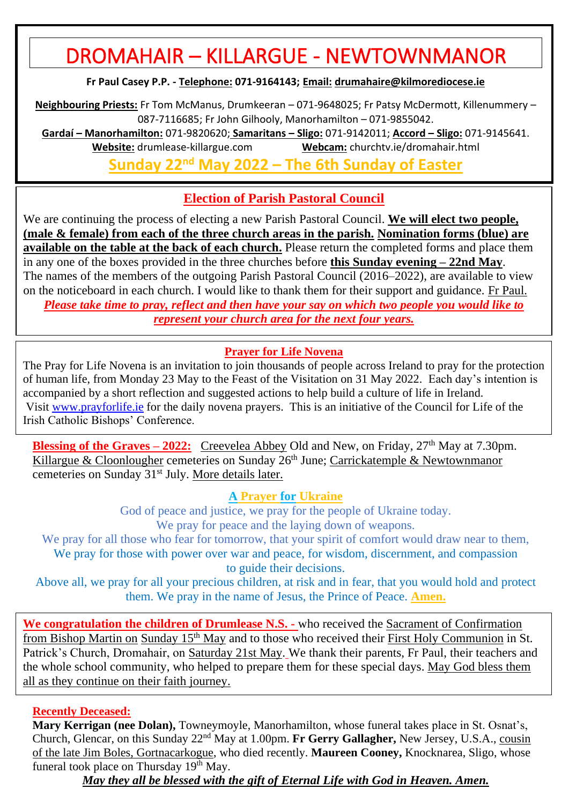# DROMAHAIR – KILLARGUE - NEWTOWNMANOR

**Fr Paul Casey P.P. - Telephone: 071-9164143; Email: [drumahaire@kilmorediocese.ie](about:blank)**

**Neighbouring Priests:** Fr Tom McManus, Drumkeeran – 071-9648025; Fr Patsy McDermott, Killenummery – 087-7116685; Fr John Gilhooly, Manorhamilton – 071-9855042.

**Gardaí – Manorhamilton:** 071-9820620; **Samaritans – Sligo:** 071-9142011; **Accord – Sligo:** 071-9145641. **Website:** drumlease-killargue.com **Webcam:** churchtv.ie/dromahair.html

**Sunday 22nd May 2022 – The 6th Sunday of Easter**

# **Election of Parish Pastoral Council**

We are continuing the process of electing a new Parish Pastoral Council. **We will elect two people, (male & female) from each of the three church areas in the parish. Nomination forms (blue) are available on the table at the back of each church.** Please return the completed forms and place them in any one of the boxes provided in the three churches before **this Sunday evening – 22nd May**. The names of the members of the outgoing Parish Pastoral Council (2016–2022), are available to view on the noticeboard in each church. I would like to thank them for their support and guidance. Fr Paul. *Please take time to pray, reflect and then have your say on which two people you would like to represent your church area for the next four years.*

## **Prayer for Life Novena**

The Pray for Life Novena is an invitation to join thousands of people across Ireland to pray for the protection of human life, from Monday 23 May to the Feast of the Visitation on 31 May 2022. Each day's intention is accompanied by a short reflection and suggested actions to help build a culture of life in Ireland. Visit [www.prayforlife.ie](https://url6b.mailanyone.net/v1/?m=1nrdZS-000AuP-4b&i=57e1b682&c=kgOAm90ivypPWJEXUNVBrnTzeHIiGi9DsMLiQxu-SYxvLs5NPxvGu7GJI69Jq-guS2GbMISoBFWDFrXgrzxBku0HJhJv4EMOq-YbO7lSMvwZcs5m2-MBkC2Vzlp1fv1scDr646QaOfFEzyNAbfDGNseQVnnPOT45LIawkqIB2Nay858ckmOgQs7jXXOSGrCcXf-V6hcQZqdOjvNmGpBCmg) for the daily novena prayers. This is an initiative of the Council for Life of the Irish Catholic Bishops' Conference.

**Blessing of the Graves – 2022:** Creevelea Abbey Old and New, on Friday, 27<sup>th</sup> May at 7.30pm. Killargue & Cloonlougher cemeteries on Sunday 26<sup>th</sup> June; Carrickatemple & Newtownmanor cemeteries on Sunday 31st July. More details later.

**A Prayer for Ukraine**

God of peace and justice, we pray for the people of Ukraine today. We pray for peace and the laying down of weapons.

We pray for all those who fear for tomorrow, that your spirit of comfort would draw near to them, We pray for those with power over war and peace, for wisdom, discernment, and compassion to guide their decisions.

Above all, we pray for all your precious children, at risk and in fear, that you would hold and protect them. We pray in the name of Jesus, the Prince of Peace. **Amen.**

**We congratulation the children of Drumlease N.S. -** who received the Sacrament of Confirmation from Bishop Martin on Sunday 15th May and to those who received their First Holy Communion in St. Patrick's Church, Dromahair, on Saturday 21st May. We thank their parents, Fr Paul, their teachers and the whole school community, who helped to prepare them for these special days. May God bless them all as they continue on their faith journey.

### **Recently Deceased:**

**Mary Kerrigan (nee Dolan),** Towneymoyle, Manorhamilton, whose funeral takes place in St. Osnat's, Church, Glencar, on this Sunday 22nd May at 1.00pm. **Fr Gerry Gallagher,** New Jersey, U.S.A., cousin of the late Jim Boles, Gortnacarkogue, who died recently. **Maureen Cooney,** Knocknarea, Sligo, whose funeral took place on Thursday  $19<sup>th</sup>$  May.

*May they all be blessed with the gift of Eternal Life with God in Heaven. Amen.*